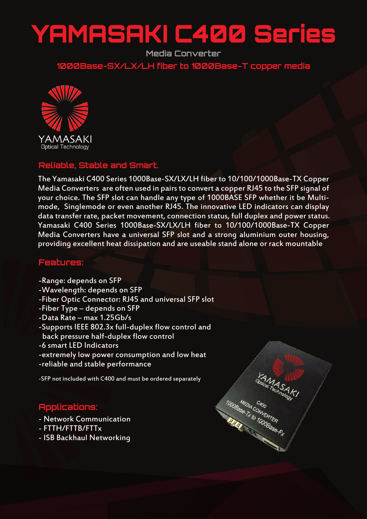# YAMASAKI C400 Series

**Media Converter**

**1000Base-SX/LX/LH fiber to 1000Base-T copper media**



### **Reliable, Stable and Smart.**

The Yamasaki C400 Series 1000Base-SX/LX/LH fiber to 10/100/1000Base-TX Copper Media Converters are often used in pairs to convert a copper RJ45 to the SFP signal of your choice. The SFP slot can handle any type of 1000BASE SFP whether it be Multimode, Singlemode or even another RJ45. The innovative LED indicators can display data transfer rate, packet movement, connection status, full duplex and power status. Yamasaki C400 Series 1000Base-SX/LX/LH fiber to 10/100/1000Base-TX Copper Media Converters have a universal SFP slot and a strong aluminium outer housing, providing excellent heat dissipation and are useable stand alone or rack mountable

#### **Features:**

- -Range: depends on SFP
- -Wavelength: depends on SFP
- -Fiber Optic Connector: RJ45 and universal SFP slot
- -Fiber Type depends on SFP
- -Data Rate max 1.25Gb/s
- -Supports IEEE 802.3x full-duplex flow control and back pressure half-duplex flow control
- -6 smart LED Indicators
- -extremely low power consumption and low heat
- -reliable and stable performance

-SFP not included with C400 and must be ordered separately

## **Applications:**

- Network Communication
- FTTH/FTTB/FTTx
- ISB Backhaul Networking